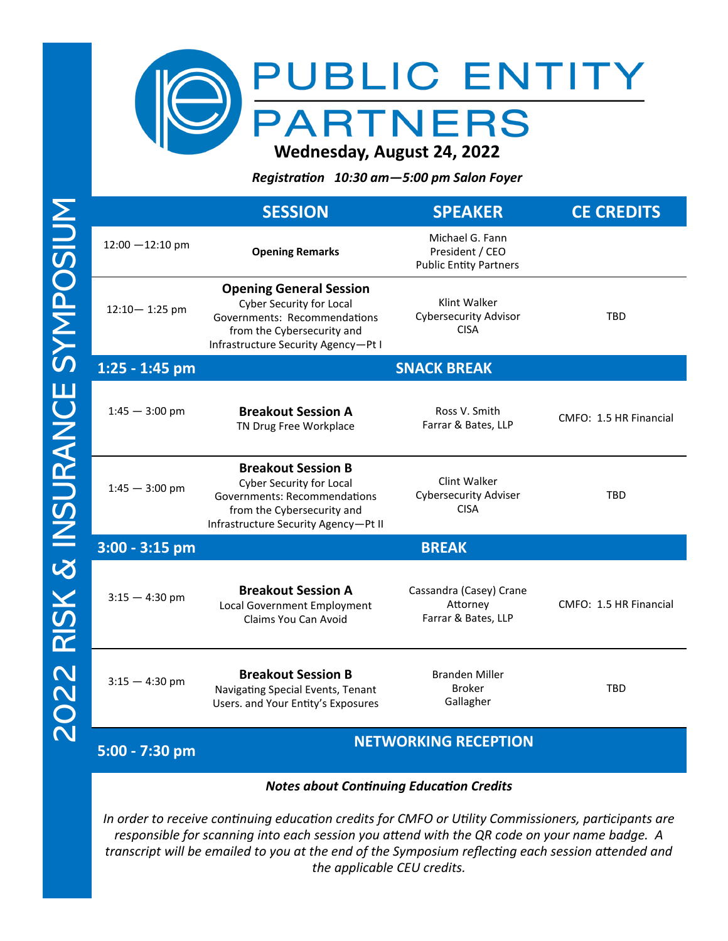

*Registration 10:30 am—5:00 pm Salon Foyer* 

|                    | <b>SESSION</b>                                                                                                                                                            | <b>SPEAKER</b>                                                      | <b>CE CREDITS</b>      |
|--------------------|---------------------------------------------------------------------------------------------------------------------------------------------------------------------------|---------------------------------------------------------------------|------------------------|
| $12:00 - 12:10$ pm | <b>Opening Remarks</b>                                                                                                                                                    | Michael G. Fann<br>President / CEO<br><b>Public Entity Partners</b> |                        |
| $12:10 - 1:25$ pm  | <b>Opening General Session</b><br><b>Cyber Security for Local</b><br>Governments: Recommendations<br>from the Cybersecurity and<br>Infrastructure Security Agency-Pt I    | Klint Walker<br><b>Cybersecurity Advisor</b><br><b>CISA</b>         | <b>TBD</b>             |
| 1:25 - 1:45 pm     |                                                                                                                                                                           | <b>SNACK BREAK</b>                                                  |                        |
| $1:45 - 3:00$ pm   | <b>Breakout Session A</b><br>TN Drug Free Workplace                                                                                                                       | Ross V. Smith<br>Farrar & Bates, LLP                                | CMFO: 1.5 HR Financial |
| $1:45 - 3:00$ pm   | <b>Breakout Session B</b><br><b>Cyber Security for Local</b><br><b>Governments: Recommendations</b><br>from the Cybersecurity and<br>Infrastructure Security Agency-Pt II | Clint Walker<br><b>Cybersecurity Adviser</b><br><b>CISA</b>         | <b>TBD</b>             |
| $3:00 - 3:15$ pm   |                                                                                                                                                                           | <b>BREAK</b>                                                        |                        |
| $3:15 - 4:30$ pm   | <b>Breakout Session A</b><br>Local Government Employment<br>Claims You Can Avoid                                                                                          | Cassandra (Casey) Crane<br>Attorney<br>Farrar & Bates, LLP          | CMFO: 1.5 HR Financial |
| $3:15 - 4:30$ pm   | <b>Breakout Session B</b><br>Navigating Special Events, Tenant<br>Users. and Your Entity's Exposures                                                                      | <b>Branden Miller</b><br><b>Broker</b><br>Gallagher                 | <b>TBD</b>             |
| 5:00 - 7:30 pm     |                                                                                                                                                                           | <b>NETWORKING RECEPTION</b>                                         |                        |

## *Notes about Continuing Education Credits*

*In order to receive continuing education credits for CMFO or Utility Commissioners, participants are responsible for scanning into each session you attend with the QR code on your name badge. A transcript will be emailed to you at the end of the Symposium reflecting each session attended and the applicable CEU credits.*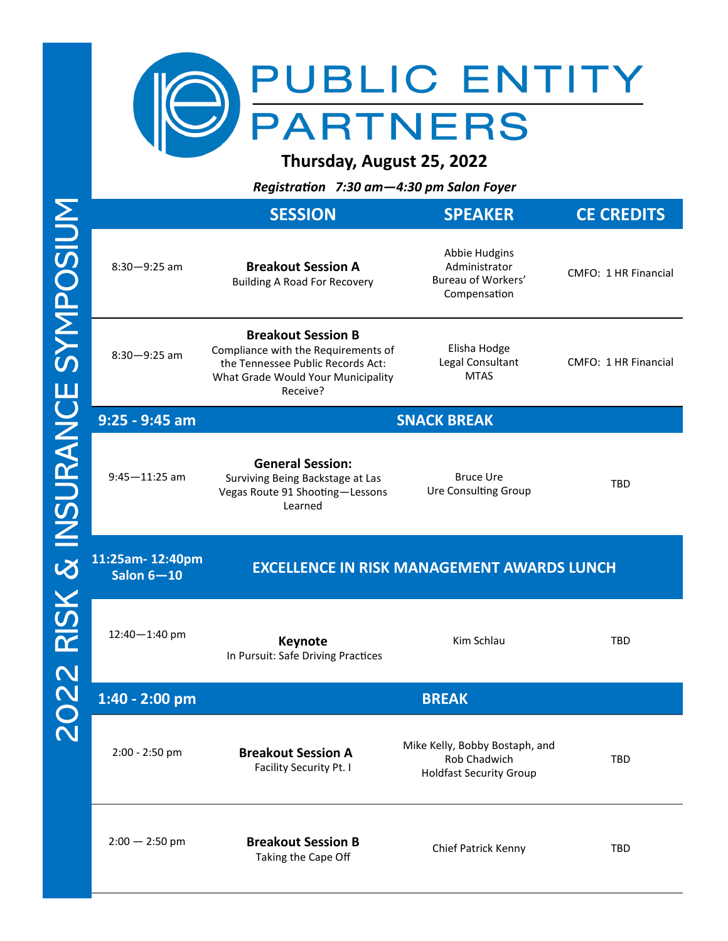

**Thursday, August 25, 2022**

*Registration 7:30 am—4:30 pm Salon Foyer* 

|                                 | <b>SESSION</b>                                                                                                                                          | <b>SPEAKER</b>                                                                   | <b>CE CREDITS</b>    |
|---------------------------------|---------------------------------------------------------------------------------------------------------------------------------------------------------|----------------------------------------------------------------------------------|----------------------|
| $8:30 - 9:25$ am                | <b>Breakout Session A</b><br><b>Building A Road For Recovery</b>                                                                                        | Abbie Hudgins<br>Administrator<br>Bureau of Workers'<br>Compensation             | CMFO: 1 HR Financial |
| $8:30 - 9:25$ am                | <b>Breakout Session B</b><br>Compliance with the Requirements of<br>the Tennessee Public Records Act:<br>What Grade Would Your Municipality<br>Receive? | Elisha Hodge<br>Legal Consultant<br><b>MTAS</b>                                  | CMFO: 1 HR Financial |
| $9:25 - 9:45$ am                |                                                                                                                                                         | <b>SNACK BREAK</b>                                                               |                      |
| $9:45 - 11:25$ am               | <b>General Session:</b><br>Surviving Being Backstage at Las<br>Vegas Route 91 Shooting-Lessons<br>Learned                                               | <b>Bruce Ure</b><br><b>Ure Consulting Group</b>                                  | <b>TBD</b>           |
| 11:25am-12:40pm<br>Salon $6-10$ |                                                                                                                                                         | <b>EXCELLENCE IN RISK MANAGEMENT AWARDS LUNCH</b>                                |                      |
|                                 |                                                                                                                                                         |                                                                                  |                      |
| 12:40-1:40 pm                   | <b>Keynote</b><br>In Pursuit: Safe Driving Practices                                                                                                    | Kim Schlau                                                                       | <b>TBD</b>           |
| $1:40 - 2:00$ pm                |                                                                                                                                                         | <b>BREAK</b>                                                                     |                      |
| 2:00 - 2:50 pm                  | <b>Breakout Session A</b><br>Facility Security Pt. I                                                                                                    | Mike Kelly, Bobby Bostaph, and<br>Rob Chadwich<br><b>Holdfast Security Group</b> | TBD                  |